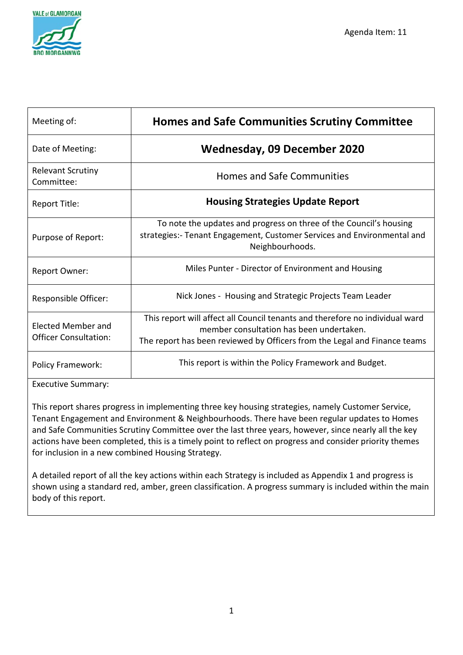

| Meeting of:                                               | <b>Homes and Safe Communities Scrutiny Committee</b>                                                                                                                                                  |
|-----------------------------------------------------------|-------------------------------------------------------------------------------------------------------------------------------------------------------------------------------------------------------|
| Date of Meeting:                                          | Wednesday, 09 December 2020                                                                                                                                                                           |
| <b>Relevant Scrutiny</b><br>Committee:                    | <b>Homes and Safe Communities</b>                                                                                                                                                                     |
| Report Title:                                             | <b>Housing Strategies Update Report</b>                                                                                                                                                               |
| Purpose of Report:                                        | To note the updates and progress on three of the Council's housing<br>strategies:- Tenant Engagement, Customer Services and Environmental and<br>Neighbourhoods.                                      |
| Report Owner:                                             | Miles Punter - Director of Environment and Housing                                                                                                                                                    |
| Responsible Officer:                                      | Nick Jones - Housing and Strategic Projects Team Leader                                                                                                                                               |
| <b>Elected Member and</b><br><b>Officer Consultation:</b> | This report will affect all Council tenants and therefore no individual ward<br>member consultation has been undertaken.<br>The report has been reviewed by Officers from the Legal and Finance teams |
| <b>Policy Framework:</b>                                  | This report is within the Policy Framework and Budget.                                                                                                                                                |

Executive Summary:

This report shares progress in implementing three key housing strategies, namely Customer Service, Tenant Engagement and Environment & Neighbourhoods. There have been regular updates to Homes and Safe Communities Scrutiny Committee over the last three years, however, since nearly all the key actions have been completed, this is a timely point to reflect on progress and consider priority themes for inclusion in a new combined Housing Strategy.

A detailed report of all the key actions within each Strategy is included as Appendix 1 and progress is shown using a standard red, amber, green classification. A progress summary is included within the main body of this report.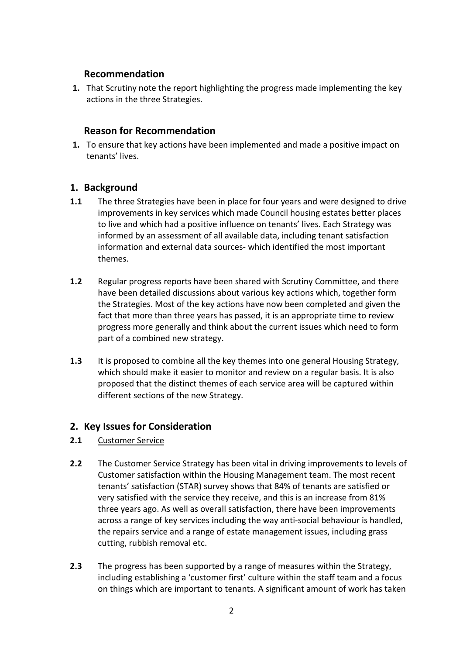#### **Recommendation**

**1.** That Scrutiny note the report highlighting the progress made implementing the key actions in the three Strategies.

### **Reason for Recommendation**

**1.** To ensure that key actions have been implemented and made a positive impact on tenants' lives.

### **1. Background**

- **1.1** The three Strategies have been in place for four years and were designed to drive improvements in key services which made Council housing estates better places to live and which had a positive influence on tenants' lives. Each Strategy was informed by an assessment of all available data, including tenant satisfaction information and external data sources- which identified the most important themes.
- **1.2** Regular progress reports have been shared with Scrutiny Committee, and there have been detailed discussions about various key actions which, together form the Strategies. Most of the key actions have now been completed and given the fact that more than three years has passed, it is an appropriate time to review progress more generally and think about the current issues which need to form part of a combined new strategy.
- **1.3** It is proposed to combine all the key themes into one general Housing Strategy, which should make it easier to monitor and review on a regular basis. It is also proposed that the distinct themes of each service area will be captured within different sections of the new Strategy.

### **2. Key Issues for Consideration**

- **2.1** Customer Service
- **2.2** The Customer Service Strategy has been vital in driving improvements to levels of Customer satisfaction within the Housing Management team. The most recent tenants' satisfaction (STAR) survey shows that 84% of tenants are satisfied or very satisfied with the service they receive, and this is an increase from 81% three years ago. As well as overall satisfaction, there have been improvements across a range of key services including the way anti-social behaviour is handled, the repairs service and a range of estate management issues, including grass cutting, rubbish removal etc.
- **2.3** The progress has been supported by a range of measures within the Strategy, including establishing a 'customer first' culture within the staff team and a focus on things which are important to tenants. A significant amount of work has taken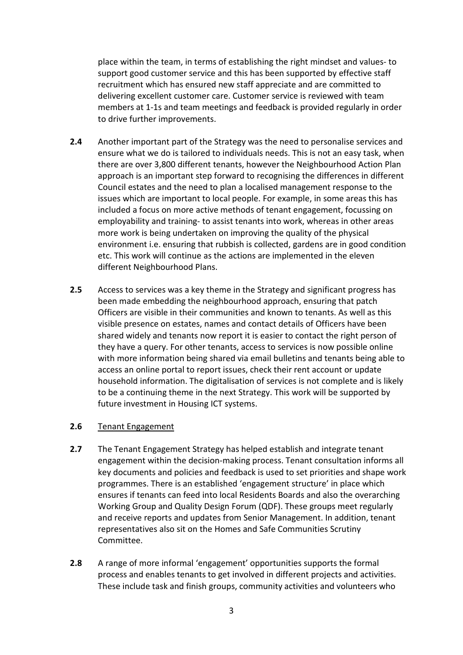place within the team, in terms of establishing the right mindset and values- to support good customer service and this has been supported by effective staff recruitment which has ensured new staff appreciate and are committed to delivering excellent customer care. Customer service is reviewed with team members at 1-1s and team meetings and feedback is provided regularly in order to drive further improvements.

- **2.4** Another important part of the Strategy was the need to personalise services and ensure what we do is tailored to individuals needs. This is not an easy task, when there are over 3,800 different tenants, however the Neighbourhood Action Plan approach is an important step forward to recognising the differences in different Council estates and the need to plan a localised management response to the issues which are important to local people. For example, in some areas this has included a focus on more active methods of tenant engagement, focussing on employability and training- to assist tenants into work, whereas in other areas more work is being undertaken on improving the quality of the physical environment i.e. ensuring that rubbish is collected, gardens are in good condition etc. This work will continue as the actions are implemented in the eleven different Neighbourhood Plans.
- **2.5** Access to services was a key theme in the Strategy and significant progress has been made embedding the neighbourhood approach, ensuring that patch Officers are visible in their communities and known to tenants. As well as this visible presence on estates, names and contact details of Officers have been shared widely and tenants now report it is easier to contact the right person of they have a query. For other tenants, access to services is now possible online with more information being shared via email bulletins and tenants being able to access an online portal to report issues, check their rent account or update household information. The digitalisation of services is not complete and is likely to be a continuing theme in the next Strategy. This work will be supported by future investment in Housing ICT systems.

#### **2.6** Tenant Engagement

- **2.7** The Tenant Engagement Strategy has helped establish and integrate tenant engagement within the decision-making process. Tenant consultation informs all key documents and policies and feedback is used to set priorities and shape work programmes. There is an established 'engagement structure' in place which ensures if tenants can feed into local Residents Boards and also the overarching Working Group and Quality Design Forum (QDF). These groups meet regularly and receive reports and updates from Senior Management. In addition, tenant representatives also sit on the Homes and Safe Communities Scrutiny Committee.
- **2.8** A range of more informal 'engagement' opportunities supports the formal process and enables tenants to get involved in different projects and activities. These include task and finish groups, community activities and volunteers who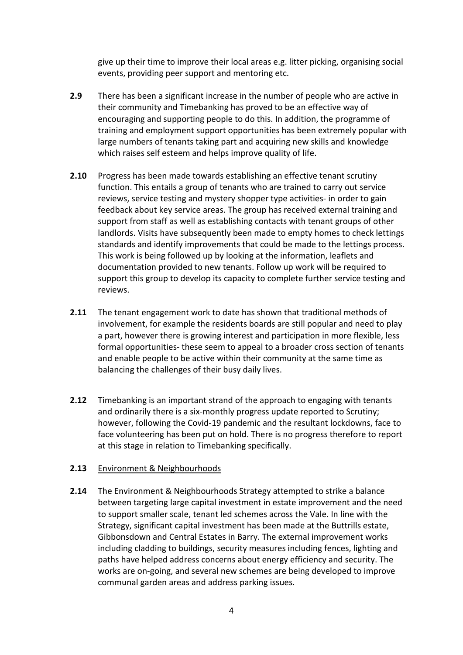give up their time to improve their local areas e.g. litter picking, organising social events, providing peer support and mentoring etc.

- **2.9** There has been a significant increase in the number of people who are active in their community and Timebanking has proved to be an effective way of encouraging and supporting people to do this. In addition, the programme of training and employment support opportunities has been extremely popular with large numbers of tenants taking part and acquiring new skills and knowledge which raises self esteem and helps improve quality of life.
- **2.10** Progress has been made towards establishing an effective tenant scrutiny function. This entails a group of tenants who are trained to carry out service reviews, service testing and mystery shopper type activities- in order to gain feedback about key service areas. The group has received external training and support from staff as well as establishing contacts with tenant groups of other landlords. Visits have subsequently been made to empty homes to check lettings standards and identify improvements that could be made to the lettings process. This work is being followed up by looking at the information, leaflets and documentation provided to new tenants. Follow up work will be required to support this group to develop its capacity to complete further service testing and reviews.
- **2.11** The tenant engagement work to date has shown that traditional methods of involvement, for example the residents boards are still popular and need to play a part, however there is growing interest and participation in more flexible, less formal opportunities- these seem to appeal to a broader cross section of tenants and enable people to be active within their community at the same time as balancing the challenges of their busy daily lives.
- **2.12** Timebanking is an important strand of the approach to engaging with tenants and ordinarily there is a six-monthly progress update reported to Scrutiny; however, following the Covid-19 pandemic and the resultant lockdowns, face to face volunteering has been put on hold. There is no progress therefore to report at this stage in relation to Timebanking specifically.

#### **2.13** Environment & Neighbourhoods

**2.14** The Environment & Neighbourhoods Strategy attempted to strike a balance between targeting large capital investment in estate improvement and the need to support smaller scale, tenant led schemes across the Vale. In line with the Strategy, significant capital investment has been made at the Buttrills estate, Gibbonsdown and Central Estates in Barry. The external improvement works including cladding to buildings, security measures including fences, lighting and paths have helped address concerns about energy efficiency and security. The works are on-going, and several new schemes are being developed to improve communal garden areas and address parking issues.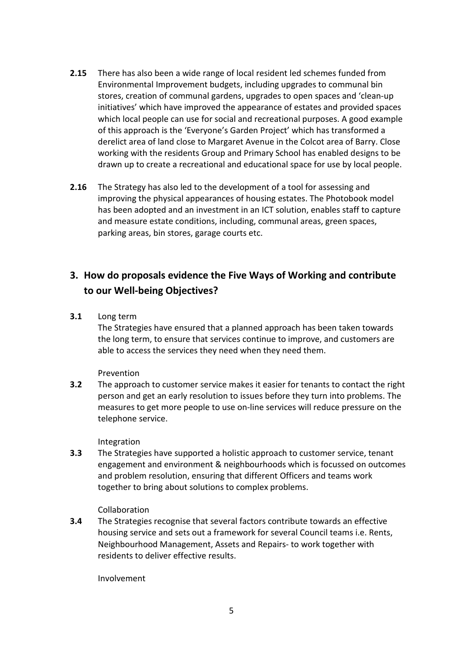- **2.15** There has also been a wide range of local resident led schemes funded from Environmental Improvement budgets, including upgrades to communal bin stores, creation of communal gardens, upgrades to open spaces and 'clean-up initiatives' which have improved the appearance of estates and provided spaces which local people can use for social and recreational purposes. A good example of this approach is the 'Everyone's Garden Project' which has transformed a derelict area of land close to Margaret Avenue in the Colcot area of Barry. Close working with the residents Group and Primary School has enabled designs to be drawn up to create a recreational and educational space for use by local people.
- **2.16** The Strategy has also led to the development of a tool for assessing and improving the physical appearances of housing estates. The Photobook model has been adopted and an investment in an ICT solution, enables staff to capture and measure estate conditions, including, communal areas, green spaces, parking areas, bin stores, garage courts etc.

## **3. How do proposals evidence the Five Ways of Working and contribute to our Well-being Objectives?**

**3.1** Long term

The Strategies have ensured that a planned approach has been taken towards the long term, to ensure that services continue to improve, and customers are able to access the services they need when they need them.

Prevention

**3.2** The approach to customer service makes it easier for tenants to contact the right person and get an early resolution to issues before they turn into problems. The measures to get more people to use on-line services will reduce pressure on the telephone service.

Integration

**3.3** The Strategies have supported a holistic approach to customer service, tenant engagement and environment & neighbourhoods which is focussed on outcomes and problem resolution, ensuring that different Officers and teams work together to bring about solutions to complex problems.

Collaboration

**3.4** The Strategies recognise that several factors contribute towards an effective housing service and sets out a framework for several Council teams i.e. Rents, Neighbourhood Management, Assets and Repairs- to work together with residents to deliver effective results.

Involvement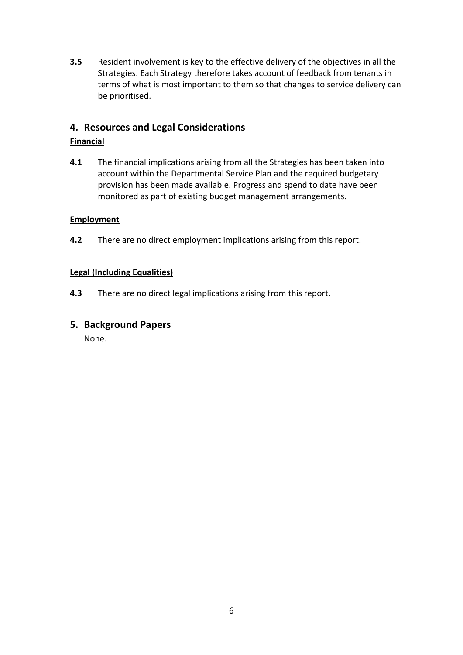**3.5** Resident involvement is key to the effective delivery of the objectives in all the Strategies. Each Strategy therefore takes account of feedback from tenants in terms of what is most important to them so that changes to service delivery can be prioritised.

### **4. Resources and Legal Considerations**

#### **Financial**

**4.1** The financial implications arising from all the Strategies has been taken into account within the Departmental Service Plan and the required budgetary provision has been made available. Progress and spend to date have been monitored as part of existing budget management arrangements.

#### **Employment**

**4.2** There are no direct employment implications arising from this report.

#### **Legal (Including Equalities)**

**4.3** There are no direct legal implications arising from this report.

### **5. Background Papers**

None.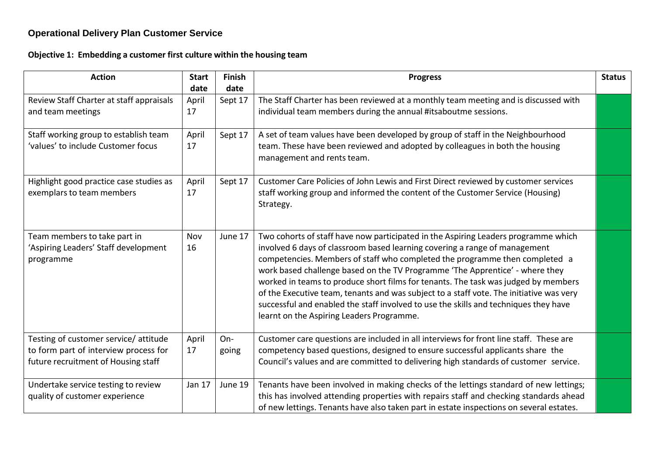# **Operational Delivery Plan Customer Service**

**Objective 1: Embedding a customer first culture within the housing team**

| <b>Action</b>                                                                                                        | <b>Start</b><br>date | <b>Finish</b><br>date | <b>Progress</b>                                                                                                                                                                                                                                                                                                                                                                                                                                                                                                                                                                                                                                       | <b>Status</b> |
|----------------------------------------------------------------------------------------------------------------------|----------------------|-----------------------|-------------------------------------------------------------------------------------------------------------------------------------------------------------------------------------------------------------------------------------------------------------------------------------------------------------------------------------------------------------------------------------------------------------------------------------------------------------------------------------------------------------------------------------------------------------------------------------------------------------------------------------------------------|---------------|
| Review Staff Charter at staff appraisals<br>and team meetings                                                        | April<br>17          | Sept 17               | The Staff Charter has been reviewed at a monthly team meeting and is discussed with<br>individual team members during the annual #itsaboutme sessions.                                                                                                                                                                                                                                                                                                                                                                                                                                                                                                |               |
| Staff working group to establish team<br>'values' to include Customer focus                                          | April<br>17          | Sept 17               | A set of team values have been developed by group of staff in the Neighbourhood<br>team. These have been reviewed and adopted by colleagues in both the housing<br>management and rents team.                                                                                                                                                                                                                                                                                                                                                                                                                                                         |               |
| Highlight good practice case studies as<br>exemplars to team members                                                 | April<br>17          | Sept 17               | Customer Care Policies of John Lewis and First Direct reviewed by customer services<br>staff working group and informed the content of the Customer Service (Housing)<br>Strategy.                                                                                                                                                                                                                                                                                                                                                                                                                                                                    |               |
| Team members to take part in<br>'Aspiring Leaders' Staff development<br>programme                                    | Nov<br>16            | June 17               | Two cohorts of staff have now participated in the Aspiring Leaders programme which<br>involved 6 days of classroom based learning covering a range of management<br>competencies. Members of staff who completed the programme then completed a<br>work based challenge based on the TV Programme 'The Apprentice' - where they<br>worked in teams to produce short films for tenants. The task was judged by members<br>of the Executive team, tenants and was subject to a staff vote. The initiative was very<br>successful and enabled the staff involved to use the skills and techniques they have<br>learnt on the Aspiring Leaders Programme. |               |
| Testing of customer service/attitude<br>to form part of interview process for<br>future recruitment of Housing staff | April<br>17          | On-<br>going          | Customer care questions are included in all interviews for front line staff. These are<br>competency based questions, designed to ensure successful applicants share the<br>Council's values and are committed to delivering high standards of customer service.                                                                                                                                                                                                                                                                                                                                                                                      |               |
| Undertake service testing to review<br>quality of customer experience                                                | Jan 17               | June 19               | Tenants have been involved in making checks of the lettings standard of new lettings;<br>this has involved attending properties with repairs staff and checking standards ahead<br>of new lettings. Tenants have also taken part in estate inspections on several estates.                                                                                                                                                                                                                                                                                                                                                                            |               |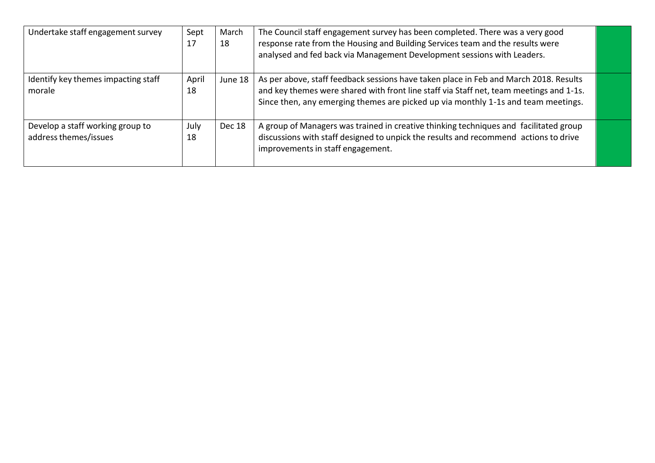| Undertake staff engagement survey                         | Sept<br>17  | March<br>18 | The Council staff engagement survey has been completed. There was a very good<br>response rate from the Housing and Building Services team and the results were<br>analysed and fed back via Management Development sessions with Leaders.                            |  |
|-----------------------------------------------------------|-------------|-------------|-----------------------------------------------------------------------------------------------------------------------------------------------------------------------------------------------------------------------------------------------------------------------|--|
| Identify key themes impacting staff<br>morale             | April<br>18 | June 18     | As per above, staff feedback sessions have taken place in Feb and March 2018. Results<br>and key themes were shared with front line staff via Staff net, team meetings and 1-1s.<br>Since then, any emerging themes are picked up via monthly 1-1s and team meetings. |  |
| Develop a staff working group to<br>address themes/issues | July<br>18  | Dec 18      | A group of Managers was trained in creative thinking techniques and facilitated group<br>discussions with staff designed to unpick the results and recommend actions to drive<br>improvements in staff engagement.                                                    |  |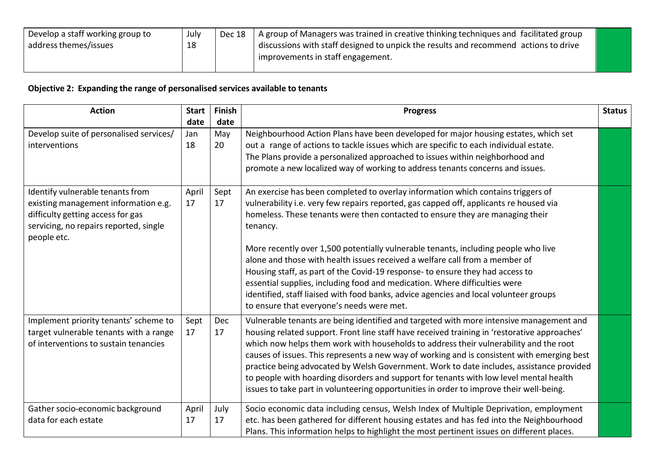| Develop a staff working group to | July | Dec 18 | A group of Managers was trained in creative thinking techniques and facilitated group |  |
|----------------------------------|------|--------|---------------------------------------------------------------------------------------|--|
| address themes/issues            |      |        | discussions with staff designed to unpick the results and recommend actions to drive  |  |
|                                  |      |        | improvements in staff engagement.                                                     |  |
|                                  |      |        |                                                                                       |  |

# **Objective 2: Expanding the range of personalised services available to tenants**

| <b>Action</b>                                                                                                                                                          | <b>Start</b><br>date | Finish<br>date | <b>Progress</b>                                                                                                                                                                                                                                                                                                                                                                                                                                                                                                                                                                                                                                                                                                                                   | <b>Status</b> |
|------------------------------------------------------------------------------------------------------------------------------------------------------------------------|----------------------|----------------|---------------------------------------------------------------------------------------------------------------------------------------------------------------------------------------------------------------------------------------------------------------------------------------------------------------------------------------------------------------------------------------------------------------------------------------------------------------------------------------------------------------------------------------------------------------------------------------------------------------------------------------------------------------------------------------------------------------------------------------------------|---------------|
| Develop suite of personalised services/<br>interventions                                                                                                               | Jan<br>18            | May<br>20      | Neighbourhood Action Plans have been developed for major housing estates, which set<br>out a range of actions to tackle issues which are specific to each individual estate.<br>The Plans provide a personalized approached to issues within neighborhood and<br>promote a new localized way of working to address tenants concerns and issues.                                                                                                                                                                                                                                                                                                                                                                                                   |               |
| Identify vulnerable tenants from<br>existing management information e.g.<br>difficulty getting access for gas<br>servicing, no repairs reported, single<br>people etc. | April<br>17          | Sept<br>17     | An exercise has been completed to overlay information which contains triggers of<br>vulnerability i.e. very few repairs reported, gas capped off, applicants re housed via<br>homeless. These tenants were then contacted to ensure they are managing their<br>tenancy.<br>More recently over 1,500 potentially vulnerable tenants, including people who live<br>alone and those with health issues received a welfare call from a member of<br>Housing staff, as part of the Covid-19 response- to ensure they had access to<br>essential supplies, including food and medication. Where difficulties were<br>identified, staff liaised with food banks, advice agencies and local volunteer groups<br>to ensure that everyone's needs were met. |               |
| Implement priority tenants' scheme to<br>target vulnerable tenants with a range<br>of interventions to sustain tenancies                                               | Sept<br>17           | Dec<br>17      | Vulnerable tenants are being identified and targeted with more intensive management and<br>housing related support. Front line staff have received training in 'restorative approaches'<br>which now helps them work with households to address their vulnerability and the root<br>causes of issues. This represents a new way of working and is consistent with emerging best<br>practice being advocated by Welsh Government. Work to date includes, assistance provided<br>to people with hoarding disorders and support for tenants with low level mental health<br>issues to take part in volunteering opportunities in order to improve their well-being.                                                                                  |               |
| Gather socio-economic background<br>data for each estate                                                                                                               | April<br>17          | July<br>17     | Socio economic data including census, Welsh Index of Multiple Deprivation, employment<br>etc. has been gathered for different housing estates and has fed into the Neighbourhood<br>Plans. This information helps to highlight the most pertinent issues on different places.                                                                                                                                                                                                                                                                                                                                                                                                                                                                     |               |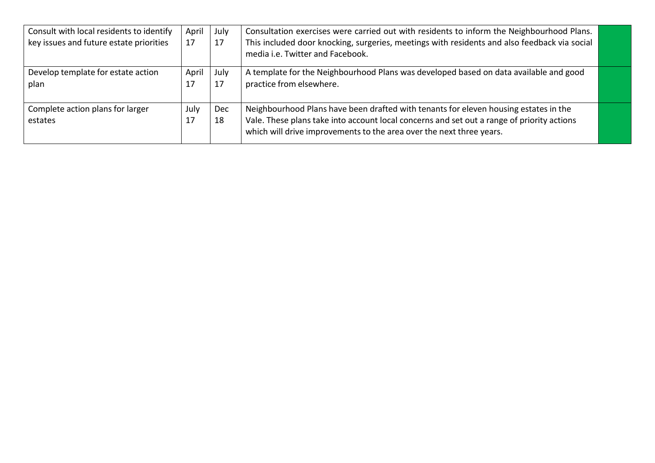| Consult with local residents to identify<br>key issues and future estate priorities | April<br>17 | July<br>17       | Consultation exercises were carried out with residents to inform the Neighbourhood Plans.<br>This included door knocking, surgeries, meetings with residents and also feedback via social<br>media i.e. Twitter and Facebook.                              |  |
|-------------------------------------------------------------------------------------|-------------|------------------|------------------------------------------------------------------------------------------------------------------------------------------------------------------------------------------------------------------------------------------------------------|--|
| Develop template for estate action<br>plan                                          | April<br>17 | July<br>17       | A template for the Neighbourhood Plans was developed based on data available and good<br>practice from elsewhere.                                                                                                                                          |  |
| Complete action plans for larger<br>estates                                         | July<br>17  | <b>Dec</b><br>18 | Neighbourhood Plans have been drafted with tenants for eleven housing estates in the<br>Vale. These plans take into account local concerns and set out a range of priority actions<br>which will drive improvements to the area over the next three years. |  |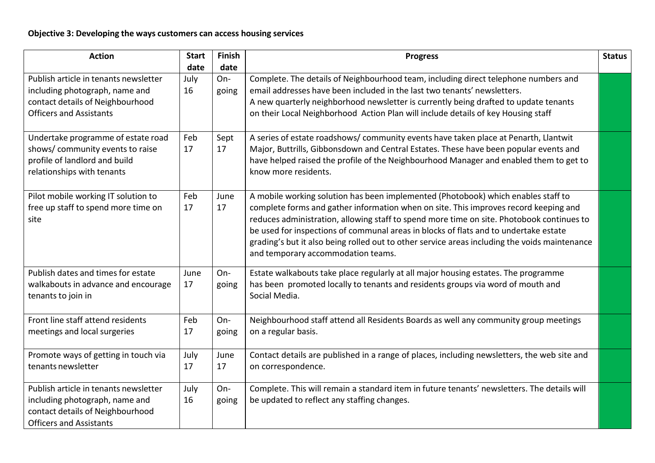| <b>Action</b>                                                                                                                                 | <b>Start</b> | Finish         | <b>Progress</b>                                                                                                                                                                                                                                                                                                                                                                                                                                                                                       | <b>Status</b> |
|-----------------------------------------------------------------------------------------------------------------------------------------------|--------------|----------------|-------------------------------------------------------------------------------------------------------------------------------------------------------------------------------------------------------------------------------------------------------------------------------------------------------------------------------------------------------------------------------------------------------------------------------------------------------------------------------------------------------|---------------|
|                                                                                                                                               | date         | date           |                                                                                                                                                                                                                                                                                                                                                                                                                                                                                                       |               |
| Publish article in tenants newsletter<br>including photograph, name and<br>contact details of Neighbourhood<br><b>Officers and Assistants</b> | July<br>16   | On-<br>going   | Complete. The details of Neighbourhood team, including direct telephone numbers and<br>email addresses have been included in the last two tenants' newsletters.<br>A new quarterly neighborhood newsletter is currently being drafted to update tenants<br>on their Local Neighborhood Action Plan will include details of key Housing staff                                                                                                                                                          |               |
| Undertake programme of estate road<br>shows/community events to raise<br>profile of landlord and build<br>relationships with tenants          | Feb<br>17    | Sept<br>17     | A series of estate roadshows/community events have taken place at Penarth, Llantwit<br>Major, Buttrills, Gibbonsdown and Central Estates. These have been popular events and<br>have helped raised the profile of the Neighbourhood Manager and enabled them to get to<br>know more residents.                                                                                                                                                                                                        |               |
| Pilot mobile working IT solution to<br>free up staff to spend more time on<br>site                                                            | Feb<br>17    | June<br>17     | A mobile working solution has been implemented (Photobook) which enables staff to<br>complete forms and gather information when on site. This improves record keeping and<br>reduces administration, allowing staff to spend more time on site. Photobook continues to<br>be used for inspections of communal areas in blocks of flats and to undertake estate<br>grading's but it also being rolled out to other service areas including the voids maintenance<br>and temporary accommodation teams. |               |
| Publish dates and times for estate<br>walkabouts in advance and encourage<br>tenants to join in                                               | June<br>17   | $On-$<br>going | Estate walkabouts take place regularly at all major housing estates. The programme<br>has been promoted locally to tenants and residents groups via word of mouth and<br>Social Media.                                                                                                                                                                                                                                                                                                                |               |
| Front line staff attend residents<br>meetings and local surgeries                                                                             | Feb<br>17    | On-<br>going   | Neighbourhood staff attend all Residents Boards as well any community group meetings<br>on a regular basis.                                                                                                                                                                                                                                                                                                                                                                                           |               |
| Promote ways of getting in touch via<br>tenants newsletter                                                                                    | July<br>17   | June<br>17     | Contact details are published in a range of places, including newsletters, the web site and<br>on correspondence.                                                                                                                                                                                                                                                                                                                                                                                     |               |
| Publish article in tenants newsletter<br>including photograph, name and<br>contact details of Neighbourhood<br><b>Officers and Assistants</b> | July<br>16   | On-<br>going   | Complete. This will remain a standard item in future tenants' newsletters. The details will<br>be updated to reflect any staffing changes.                                                                                                                                                                                                                                                                                                                                                            |               |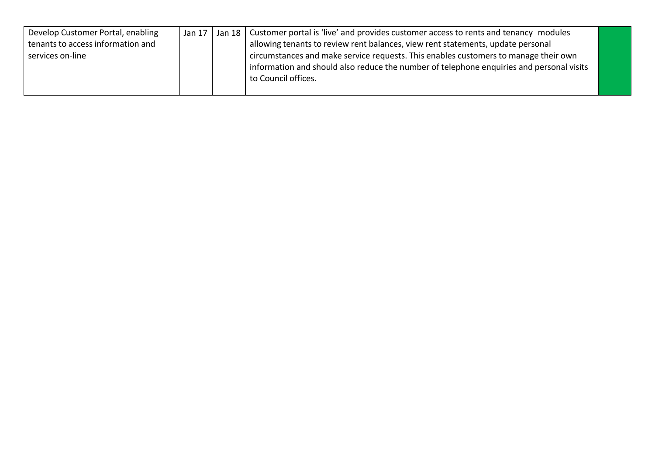| Develop Customer Portal, enabling | Jan 17 | Jan 18   Customer portal is 'live' and provides customer access to rents and tenancy modules |  |
|-----------------------------------|--------|----------------------------------------------------------------------------------------------|--|
| tenants to access information and |        | allowing tenants to review rent balances, view rent statements, update personal              |  |
| services on-line                  |        | circumstances and make service requests. This enables customers to manage their own          |  |
|                                   |        | information and should also reduce the number of telephone enquiries and personal visits     |  |
|                                   |        | to Council offices.                                                                          |  |
|                                   |        |                                                                                              |  |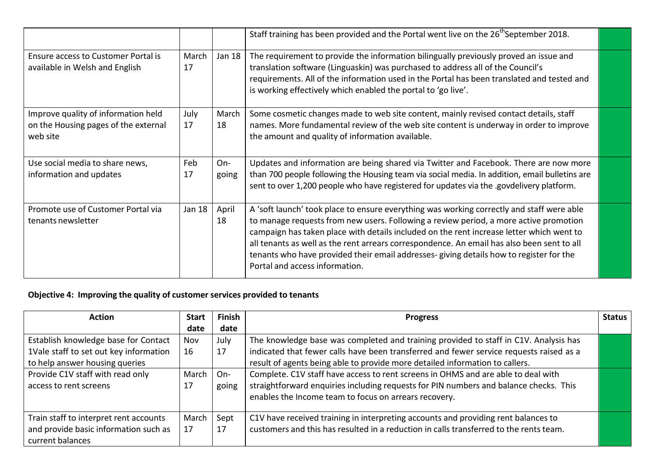|                                                                                         |             |                | Staff training has been provided and the Portal went live on the 26 <sup>th</sup> September 2018.                                                                                                                                                                                                                                                                                                                                                                                                         |  |
|-----------------------------------------------------------------------------------------|-------------|----------------|-----------------------------------------------------------------------------------------------------------------------------------------------------------------------------------------------------------------------------------------------------------------------------------------------------------------------------------------------------------------------------------------------------------------------------------------------------------------------------------------------------------|--|
| Ensure access to Customer Portal is<br>available in Welsh and English                   | March<br>17 | Jan 18         | The requirement to provide the information bilingually previously proved an issue and<br>translation software (Linguaskin) was purchased to address all of the Council's<br>requirements. All of the information used in the Portal has been translated and tested and<br>is working effectively which enabled the portal to 'go live'.                                                                                                                                                                   |  |
| Improve quality of information held<br>on the Housing pages of the external<br>web site | July<br>17  | March<br>18    | Some cosmetic changes made to web site content, mainly revised contact details, staff<br>names. More fundamental review of the web site content is underway in order to improve<br>the amount and quality of information available.                                                                                                                                                                                                                                                                       |  |
| Use social media to share news,<br>information and updates                              | Feb<br>17   | $On-$<br>going | Updates and information are being shared via Twitter and Facebook. There are now more<br>than 700 people following the Housing team via social media. In addition, email bulletins are<br>sent to over 1,200 people who have registered for updates via the .govdelivery platform.                                                                                                                                                                                                                        |  |
| Promote use of Customer Portal via<br>tenants newsletter                                | Jan 18      | April<br>18    | A 'soft launch' took place to ensure everything was working correctly and staff were able<br>to manage requests from new users. Following a review period, a more active promotion<br>campaign has taken place with details included on the rent increase letter which went to<br>all tenants as well as the rent arrears correspondence. An email has also been sent to all<br>tenants who have provided their email addresses- giving details how to register for the<br>Portal and access information. |  |

# **Objective 4: Improving the quality of customer services provided to tenants**

| <b>Action</b>                          | <b>Start</b> | <b>Finish</b> | <b>Progress</b>                                                                         | <b>Status</b> |
|----------------------------------------|--------------|---------------|-----------------------------------------------------------------------------------------|---------------|
|                                        | date         | date          |                                                                                         |               |
| Establish knowledge base for Contact   | Nov          | July          | The knowledge base was completed and training provided to staff in C1V. Analysis has    |               |
| 1Vale staff to set out key information | 16           | 17            | indicated that fewer calls have been transferred and fewer service requests raised as a |               |
| to help answer housing queries         |              |               | result of agents being able to provide more detailed information to callers.            |               |
| Provide C1V staff with read only       | March        | $On-$         | Complete. C1V staff have access to rent screens in OHMS and are able to deal with       |               |
| access to rent screens                 | 17           | going         | straightforward enquiries including requests for PIN numbers and balance checks. This   |               |
|                                        |              |               | enables the Income team to focus on arrears recovery.                                   |               |
|                                        |              |               |                                                                                         |               |
| Train staff to interpret rent accounts | March        | Sept          | C1V have received training in interpreting accounts and providing rent balances to      |               |
| and provide basic information such as  | 17           | 17            | customers and this has resulted in a reduction in calls transferred to the rents team.  |               |
| current balances                       |              |               |                                                                                         |               |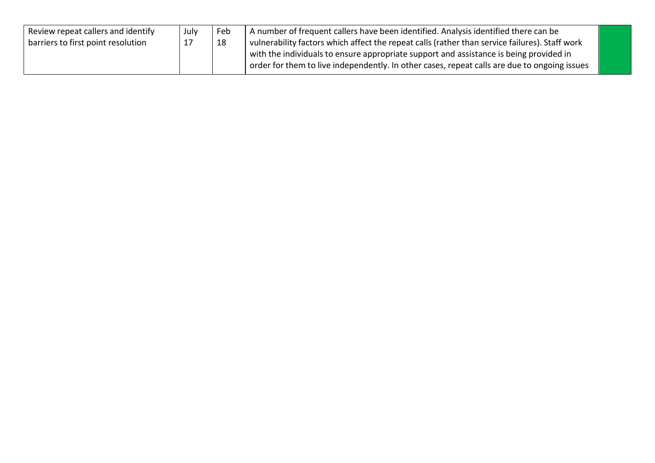| Review repeat callers and identify | July | Feb | A number of frequent callers have been identified. Analysis identified there can be                                                                                                    |  |
|------------------------------------|------|-----|----------------------------------------------------------------------------------------------------------------------------------------------------------------------------------------|--|
| barriers to first point resolution |      | 18  | vulnerability factors which affect the repeat calls (rather than service failures). Staff work                                                                                         |  |
|                                    |      |     | with the individuals to ensure appropriate support and assistance is being provided in<br>order for them to live independently. In other cases, repeat calls are due to ongoing issues |  |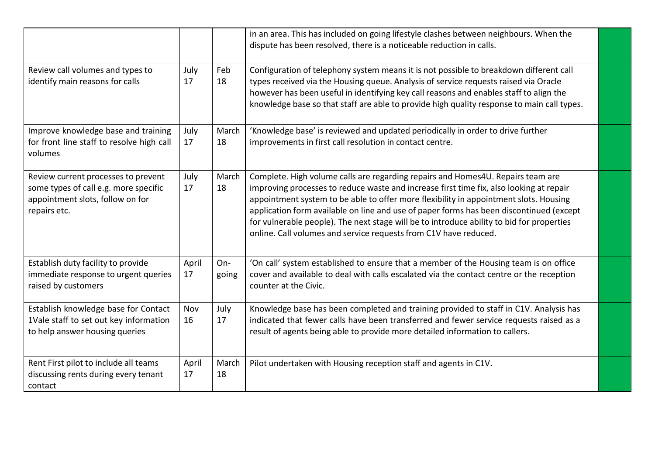|                                                                                                                                  |             |              | in an area. This has included on going lifestyle clashes between neighbours. When the<br>dispute has been resolved, there is a noticeable reduction in calls.                                                                                                                                                                                                                                                                                                                                                                   |  |
|----------------------------------------------------------------------------------------------------------------------------------|-------------|--------------|---------------------------------------------------------------------------------------------------------------------------------------------------------------------------------------------------------------------------------------------------------------------------------------------------------------------------------------------------------------------------------------------------------------------------------------------------------------------------------------------------------------------------------|--|
| Review call volumes and types to<br>identify main reasons for calls                                                              | July<br>17  | Feb<br>18    | Configuration of telephony system means it is not possible to breakdown different call<br>types received via the Housing queue. Analysis of service requests raised via Oracle<br>however has been useful in identifying key call reasons and enables staff to align the<br>knowledge base so that staff are able to provide high quality response to main call types.                                                                                                                                                          |  |
| Improve knowledge base and training<br>for front line staff to resolve high call<br>volumes                                      | July<br>17  | March<br>18  | 'Knowledge base' is reviewed and updated periodically in order to drive further<br>improvements in first call resolution in contact centre.                                                                                                                                                                                                                                                                                                                                                                                     |  |
| Review current processes to prevent<br>some types of call e.g. more specific<br>appointment slots, follow on for<br>repairs etc. | July<br>17  | March<br>18  | Complete. High volume calls are regarding repairs and Homes4U. Repairs team are<br>improving processes to reduce waste and increase first time fix, also looking at repair<br>appointment system to be able to offer more flexibility in appointment slots. Housing<br>application form available on line and use of paper forms has been discontinued (except<br>for vulnerable people). The next stage will be to introduce ability to bid for properties<br>online. Call volumes and service requests from C1V have reduced. |  |
| Establish duty facility to provide<br>immediate response to urgent queries<br>raised by customers                                | April<br>17 | On-<br>going | 'On call' system established to ensure that a member of the Housing team is on office<br>cover and available to deal with calls escalated via the contact centre or the reception<br>counter at the Civic.                                                                                                                                                                                                                                                                                                                      |  |
| Establish knowledge base for Contact<br>1Vale staff to set out key information<br>to help answer housing queries                 | Nov<br>16   | July<br>17   | Knowledge base has been completed and training provided to staff in C1V. Analysis has<br>indicated that fewer calls have been transferred and fewer service requests raised as a<br>result of agents being able to provide more detailed information to callers.                                                                                                                                                                                                                                                                |  |
| Rent First pilot to include all teams<br>discussing rents during every tenant<br>contact                                         | April<br>17 | March<br>18  | Pilot undertaken with Housing reception staff and agents in C1V.                                                                                                                                                                                                                                                                                                                                                                                                                                                                |  |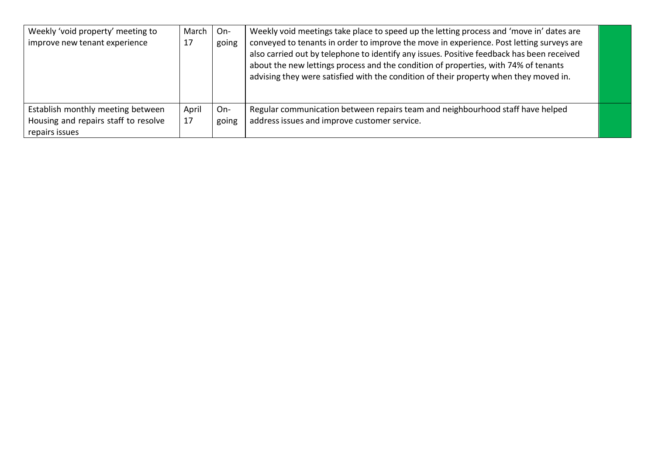| Weekly 'void property' meeting to<br>improve new tenant experience                          | March<br>17 | On-<br>going | Weekly void meetings take place to speed up the letting process and 'move in' dates are<br>conveyed to tenants in order to improve the move in experience. Post letting surveys are<br>also carried out by telephone to identify any issues. Positive feedback has been received<br>about the new lettings process and the condition of properties, with 74% of tenants<br>advising they were satisfied with the condition of their property when they moved in. |  |
|---------------------------------------------------------------------------------------------|-------------|--------------|------------------------------------------------------------------------------------------------------------------------------------------------------------------------------------------------------------------------------------------------------------------------------------------------------------------------------------------------------------------------------------------------------------------------------------------------------------------|--|
| Establish monthly meeting between<br>Housing and repairs staff to resolve<br>repairs issues | April<br>17 | On-<br>going | Regular communication between repairs team and neighbourhood staff have helped<br>address issues and improve customer service.                                                                                                                                                                                                                                                                                                                                   |  |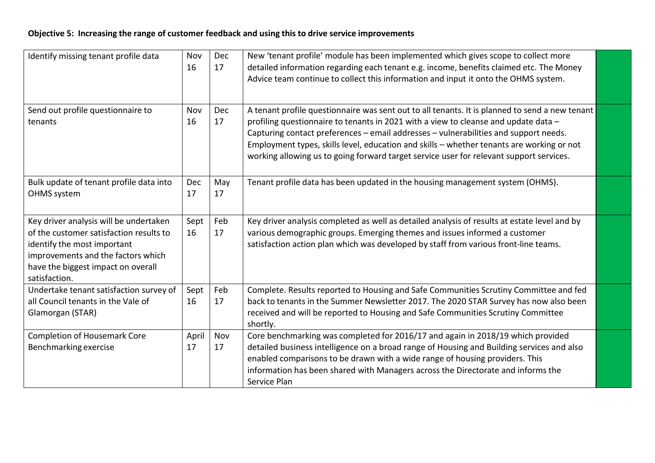## **Objective 5: Increasing the range of customer feedback and using this to drive service improvements**

| Identify missing tenant profile data                                                                                                                                                                          | Nov<br>16        | Dec<br>17 | New 'tenant profile' module has been implemented which gives scope to collect more<br>detailed information regarding each tenant e.g. income, benefits claimed etc. The Money<br>Advice team continue to collect this information and input it onto the OHMS system.                                                                                                                                                                                                  |  |
|---------------------------------------------------------------------------------------------------------------------------------------------------------------------------------------------------------------|------------------|-----------|-----------------------------------------------------------------------------------------------------------------------------------------------------------------------------------------------------------------------------------------------------------------------------------------------------------------------------------------------------------------------------------------------------------------------------------------------------------------------|--|
| Send out profile questionnaire to<br>tenants                                                                                                                                                                  | Nov<br>16        | Dec<br>17 | A tenant profile questionnaire was sent out to all tenants. It is planned to send a new tenant<br>profiling questionnaire to tenants in 2021 with a view to cleanse and update data -<br>Capturing contact preferences - email addresses - vulnerabilities and support needs.<br>Employment types, skills level, education and skills - whether tenants are working or not<br>working allowing us to going forward target service user for relevant support services. |  |
| Bulk update of tenant profile data into<br>OHMS system                                                                                                                                                        | <b>Dec</b><br>17 | May<br>17 | Tenant profile data has been updated in the housing management system (OHMS).                                                                                                                                                                                                                                                                                                                                                                                         |  |
| Key driver analysis will be undertaken<br>of the customer satisfaction results to<br>identify the most important<br>improvements and the factors which<br>have the biggest impact on overall<br>satisfaction. | Sept<br>16       | Feb<br>17 | Key driver analysis completed as well as detailed analysis of results at estate level and by<br>various demographic groups. Emerging themes and issues informed a customer<br>satisfaction action plan which was developed by staff from various front-line teams.                                                                                                                                                                                                    |  |
| Undertake tenant satisfaction survey of<br>all Council tenants in the Vale of<br>Glamorgan (STAR)                                                                                                             | Sept<br>16       | Feb<br>17 | Complete. Results reported to Housing and Safe Communities Scrutiny Committee and fed<br>back to tenants in the Summer Newsletter 2017. The 2020 STAR Survey has now also been<br>received and will be reported to Housing and Safe Communities Scrutiny Committee<br>shortly.                                                                                                                                                                                        |  |
| <b>Completion of Housemark Core</b><br>Benchmarking exercise                                                                                                                                                  | April<br>17      | Nov<br>17 | Core benchmarking was completed for 2016/17 and again in 2018/19 which provided<br>detailed business intelligence on a broad range of Housing and Building services and also<br>enabled comparisons to be drawn with a wide range of housing providers. This<br>information has been shared with Managers across the Directorate and informs the<br>Service Plan                                                                                                      |  |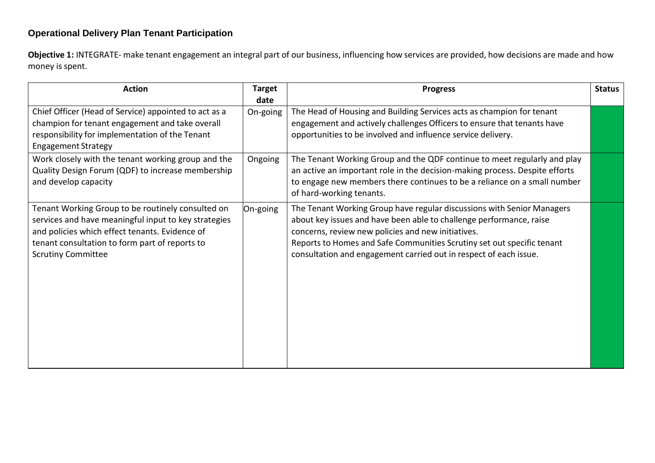## **Operational Delivery Plan Tenant Participation**

**Objective 1:** INTEGRATE- make tenant engagement an integral part of our business, influencing how services are provided, how decisions are made and how money is spent.

| <b>Action</b>                                                                                                                                                                                                                              | <b>Target</b>    | <b>Progress</b>                                                                                                                                                                                                                                                                                                                                    | <b>Status</b> |
|--------------------------------------------------------------------------------------------------------------------------------------------------------------------------------------------------------------------------------------------|------------------|----------------------------------------------------------------------------------------------------------------------------------------------------------------------------------------------------------------------------------------------------------------------------------------------------------------------------------------------------|---------------|
| Chief Officer (Head of Service) appointed to act as a<br>champion for tenant engagement and take overall<br>responsibility for implementation of the Tenant<br><b>Engagement Strategy</b>                                                  | date<br>On-going | The Head of Housing and Building Services acts as champion for tenant<br>engagement and actively challenges Officers to ensure that tenants have<br>opportunities to be involved and influence service delivery.                                                                                                                                   |               |
| Work closely with the tenant working group and the<br>Quality Design Forum (QDF) to increase membership<br>and develop capacity                                                                                                            | Ongoing          | The Tenant Working Group and the QDF continue to meet regularly and play<br>an active an important role in the decision-making process. Despite efforts<br>to engage new members there continues to be a reliance on a small number<br>of hard-working tenants.                                                                                    |               |
| Tenant Working Group to be routinely consulted on<br>services and have meaningful input to key strategies<br>and policies which effect tenants. Evidence of<br>tenant consultation to form part of reports to<br><b>Scrutiny Committee</b> | On-going         | The Tenant Working Group have regular discussions with Senior Managers<br>about key issues and have been able to challenge performance, raise<br>concerns, review new policies and new initiatives.<br>Reports to Homes and Safe Communities Scrutiny set out specific tenant<br>consultation and engagement carried out in respect of each issue. |               |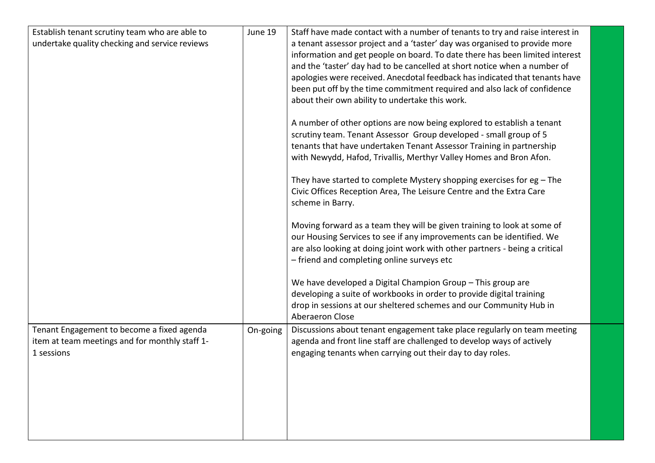| Establish tenant scrutiny team who are able to<br>undertake quality checking and service reviews           | June 19  | Staff have made contact with a number of tenants to try and raise interest in<br>a tenant assessor project and a 'taster' day was organised to provide more<br>information and get people on board. To date there has been limited interest<br>and the 'taster' day had to be cancelled at short notice when a number of<br>apologies were received. Anecdotal feedback has indicated that tenants have<br>been put off by the time commitment required and also lack of confidence<br>about their own ability to undertake this work.<br>A number of other options are now being explored to establish a tenant<br>scrutiny team. Tenant Assessor Group developed - small group of 5 |  |
|------------------------------------------------------------------------------------------------------------|----------|---------------------------------------------------------------------------------------------------------------------------------------------------------------------------------------------------------------------------------------------------------------------------------------------------------------------------------------------------------------------------------------------------------------------------------------------------------------------------------------------------------------------------------------------------------------------------------------------------------------------------------------------------------------------------------------|--|
|                                                                                                            |          | tenants that have undertaken Tenant Assessor Training in partnership<br>with Newydd, Hafod, Trivallis, Merthyr Valley Homes and Bron Afon.<br>They have started to complete Mystery shopping exercises for $eg$ – The<br>Civic Offices Reception Area, The Leisure Centre and the Extra Care<br>scheme in Barry.                                                                                                                                                                                                                                                                                                                                                                      |  |
|                                                                                                            |          | Moving forward as a team they will be given training to look at some of<br>our Housing Services to see if any improvements can be identified. We<br>are also looking at doing joint work with other partners - being a critical<br>- friend and completing online surveys etc<br>We have developed a Digital Champion Group - This group are<br>developing a suite of workbooks in order to provide digital training<br>drop in sessions at our sheltered schemes and our Community Hub in<br>Aberaeron Close                                                                                                                                                                         |  |
| Tenant Engagement to become a fixed agenda<br>item at team meetings and for monthly staff 1-<br>1 sessions | On-going | Discussions about tenant engagement take place regularly on team meeting<br>agenda and front line staff are challenged to develop ways of actively<br>engaging tenants when carrying out their day to day roles.                                                                                                                                                                                                                                                                                                                                                                                                                                                                      |  |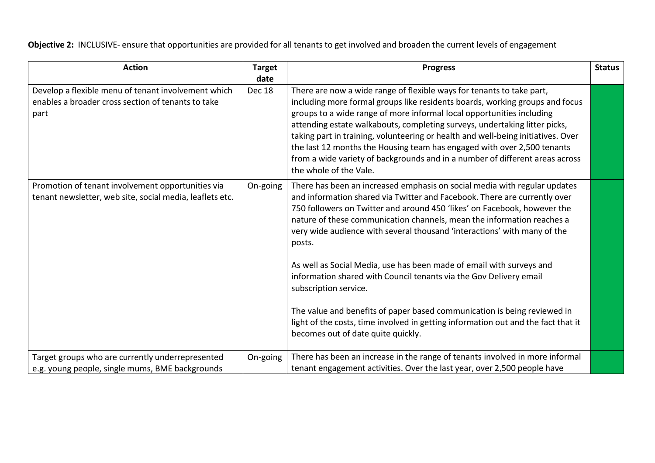**Objective 2:** INCLUSIVE- ensure that opportunities are provided for all tenants to get involved and broaden the current levels of engagement

| <b>Action</b>                                                                                                     | <b>Target</b><br>date | <b>Progress</b>                                                                                                                                                                                                                                                                                                                                                                                                                                                                                                                                                                       | <b>Status</b> |
|-------------------------------------------------------------------------------------------------------------------|-----------------------|---------------------------------------------------------------------------------------------------------------------------------------------------------------------------------------------------------------------------------------------------------------------------------------------------------------------------------------------------------------------------------------------------------------------------------------------------------------------------------------------------------------------------------------------------------------------------------------|---------------|
| Develop a flexible menu of tenant involvement which<br>enables a broader cross section of tenants to take<br>part | Dec 18                | There are now a wide range of flexible ways for tenants to take part,<br>including more formal groups like residents boards, working groups and focus<br>groups to a wide range of more informal local opportunities including<br>attending estate walkabouts, completing surveys, undertaking litter picks,<br>taking part in training, volunteering or health and well-being initiatives. Over<br>the last 12 months the Housing team has engaged with over 2,500 tenants<br>from a wide variety of backgrounds and in a number of different areas across<br>the whole of the Vale. |               |
| Promotion of tenant involvement opportunities via<br>tenant newsletter, web site, social media, leaflets etc.     | On-going              | There has been an increased emphasis on social media with regular updates<br>and information shared via Twitter and Facebook. There are currently over<br>750 followers on Twitter and around 450 'likes' on Facebook, however the<br>nature of these communication channels, mean the information reaches a<br>very wide audience with several thousand 'interactions' with many of the<br>posts.                                                                                                                                                                                    |               |
|                                                                                                                   |                       | As well as Social Media, use has been made of email with surveys and<br>information shared with Council tenants via the Gov Delivery email<br>subscription service.<br>The value and benefits of paper based communication is being reviewed in<br>light of the costs, time involved in getting information out and the fact that it                                                                                                                                                                                                                                                  |               |
|                                                                                                                   |                       | becomes out of date quite quickly.                                                                                                                                                                                                                                                                                                                                                                                                                                                                                                                                                    |               |
| Target groups who are currently underrepresented<br>e.g. young people, single mums, BME backgrounds               | On-going              | There has been an increase in the range of tenants involved in more informal<br>tenant engagement activities. Over the last year, over 2,500 people have                                                                                                                                                                                                                                                                                                                                                                                                                              |               |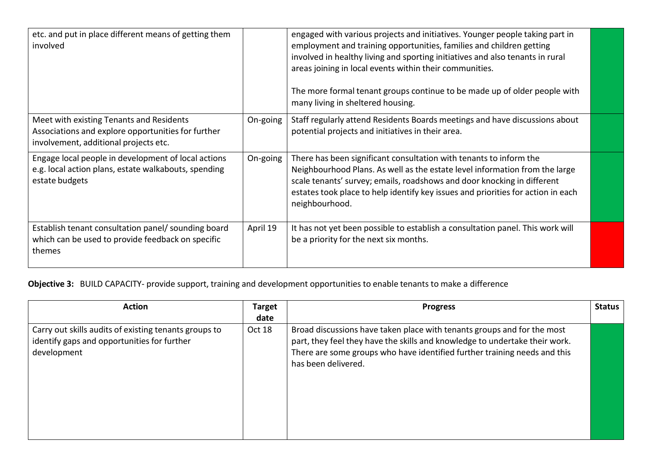| etc. and put in place different means of getting them<br>involved                                                                       |          | engaged with various projects and initiatives. Younger people taking part in<br>employment and training opportunities, families and children getting<br>involved in healthy living and sporting initiatives and also tenants in rural<br>areas joining in local events within their communities.<br>The more formal tenant groups continue to be made up of older people with<br>many living in sheltered housing. |  |
|-----------------------------------------------------------------------------------------------------------------------------------------|----------|--------------------------------------------------------------------------------------------------------------------------------------------------------------------------------------------------------------------------------------------------------------------------------------------------------------------------------------------------------------------------------------------------------------------|--|
| Meet with existing Tenants and Residents<br>Associations and explore opportunities for further<br>involvement, additional projects etc. | On-going | Staff regularly attend Residents Boards meetings and have discussions about<br>potential projects and initiatives in their area.                                                                                                                                                                                                                                                                                   |  |
| Engage local people in development of local actions<br>e.g. local action plans, estate walkabouts, spending<br>estate budgets           | On-going | There has been significant consultation with tenants to inform the<br>Neighbourhood Plans. As well as the estate level information from the large<br>scale tenants' survey; emails, roadshows and door knocking in different<br>estates took place to help identify key issues and priorities for action in each<br>neighbourhood.                                                                                 |  |
| Establish tenant consultation panel/ sounding board<br>which can be used to provide feedback on specific<br>themes                      | April 19 | It has not yet been possible to establish a consultation panel. This work will<br>be a priority for the next six months.                                                                                                                                                                                                                                                                                           |  |

**Objective 3:** BUILD CAPACITY- provide support, training and development opportunities to enable tenants to make a difference

| <b>Action</b>                                                                                                       | <b>Target</b> | <b>Progress</b>                                                                                                                                                                                                                                            | <b>Status</b> |
|---------------------------------------------------------------------------------------------------------------------|---------------|------------------------------------------------------------------------------------------------------------------------------------------------------------------------------------------------------------------------------------------------------------|---------------|
|                                                                                                                     | date          |                                                                                                                                                                                                                                                            |               |
| Carry out skills audits of existing tenants groups to<br>identify gaps and opportunities for further<br>development | Oct 18        | Broad discussions have taken place with tenants groups and for the most<br>part, they feel they have the skills and knowledge to undertake their work.<br>There are some groups who have identified further training needs and this<br>has been delivered. |               |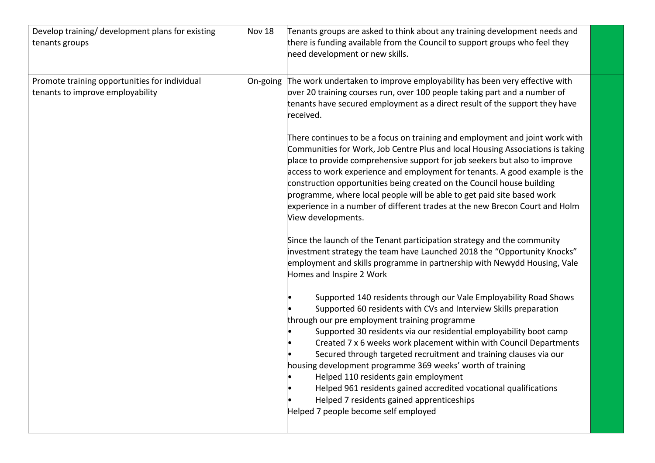| Develop training/ development plans for existing<br>tenants groups                | Nov 18   | Tenants groups are asked to think about any training development needs and<br>there is funding available from the Council to support groups who feel they<br>need development or new skills.                                                                                                                                                                                                                                                                                                                                                                                                                                                                                                                                                                                                                                                                                                                                                                                                                                                                                                                                                                                                                                                                                                                                                                                                                                                                                                                                                                                                                                                                                                                                                                                        |
|-----------------------------------------------------------------------------------|----------|-------------------------------------------------------------------------------------------------------------------------------------------------------------------------------------------------------------------------------------------------------------------------------------------------------------------------------------------------------------------------------------------------------------------------------------------------------------------------------------------------------------------------------------------------------------------------------------------------------------------------------------------------------------------------------------------------------------------------------------------------------------------------------------------------------------------------------------------------------------------------------------------------------------------------------------------------------------------------------------------------------------------------------------------------------------------------------------------------------------------------------------------------------------------------------------------------------------------------------------------------------------------------------------------------------------------------------------------------------------------------------------------------------------------------------------------------------------------------------------------------------------------------------------------------------------------------------------------------------------------------------------------------------------------------------------------------------------------------------------------------------------------------------------|
| Promote training opportunities for individual<br>tenants to improve employability | On-going | The work undertaken to improve employability has been very effective with<br>over 20 training courses run, over 100 people taking part and a number of<br>tenants have secured employment as a direct result of the support they have<br>received.<br>There continues to be a focus on training and employment and joint work with<br>Communities for Work, Job Centre Plus and local Housing Associations is taking<br>place to provide comprehensive support for job seekers but also to improve<br>access to work experience and employment for tenants. A good example is the<br>construction opportunities being created on the Council house building<br>programme, where local people will be able to get paid site based work<br>experience in a number of different trades at the new Brecon Court and Holm<br>View developments.<br>Since the launch of the Tenant participation strategy and the community<br>investment strategy the team have Launched 2018 the "Opportunity Knocks"<br>employment and skills programme in partnership with Newydd Housing, Vale<br>Homes and Inspire 2 Work<br>Supported 140 residents through our Vale Employability Road Shows<br>Supported 60 residents with CVs and Interview Skills preparation<br>through our pre employment training programme<br>Supported 30 residents via our residential employability boot camp<br>Created 7 x 6 weeks work placement within with Council Departments<br>Secured through targeted recruitment and training clauses via our<br>housing development programme 369 weeks' worth of training<br>Helped 110 residents gain employment<br>Helped 961 residents gained accredited vocational qualifications<br>Helped 7 residents gained apprenticeships<br>Helped 7 people become self employed |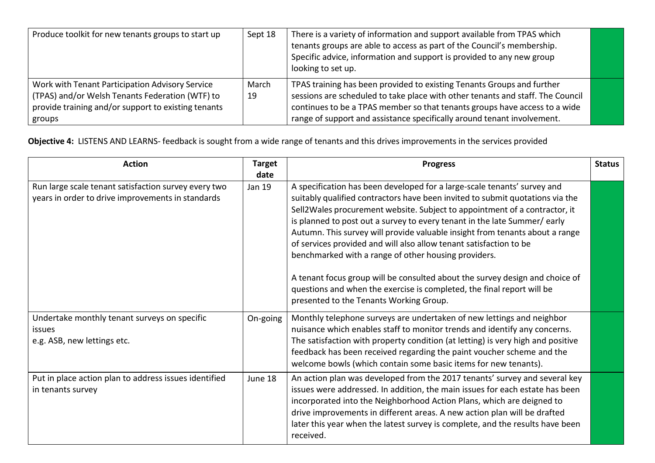| Produce toolkit for new tenants groups to start up                                                                                                                  | Sept 18     | There is a variety of information and support available from TPAS which<br>tenants groups are able to access as part of the Council's membership.<br>Specific advice, information and support is provided to any new group<br>looking to set up.                                                                  |  |
|---------------------------------------------------------------------------------------------------------------------------------------------------------------------|-------------|-------------------------------------------------------------------------------------------------------------------------------------------------------------------------------------------------------------------------------------------------------------------------------------------------------------------|--|
| Work with Tenant Participation Advisory Service<br>(TPAS) and/or Welsh Tenants Federation (WTF) to<br>provide training and/or support to existing tenants<br>groups | March<br>19 | TPAS training has been provided to existing Tenants Groups and further<br>sessions are scheduled to take place with other tenants and staff. The Council<br>continues to be a TPAS member so that tenants groups have access to a wide<br>range of support and assistance specifically around tenant involvement. |  |

**Objective 4:** LISTENS AND LEARNS- feedback is sought from a wide range of tenants and this drives improvements in the services provided

| <b>Action</b>                                                                                             | <b>Target</b><br>date | <b>Progress</b>                                                                                                                                                                                                                                                                                                                                                                                                                                                                                                                                                                                                                                                                                                                        | <b>Status</b> |
|-----------------------------------------------------------------------------------------------------------|-----------------------|----------------------------------------------------------------------------------------------------------------------------------------------------------------------------------------------------------------------------------------------------------------------------------------------------------------------------------------------------------------------------------------------------------------------------------------------------------------------------------------------------------------------------------------------------------------------------------------------------------------------------------------------------------------------------------------------------------------------------------------|---------------|
| Run large scale tenant satisfaction survey every two<br>years in order to drive improvements in standards | Jan 19                | A specification has been developed for a large-scale tenants' survey and<br>suitably qualified contractors have been invited to submit quotations via the<br>Sell2Wales procurement website. Subject to appointment of a contractor, it<br>is planned to post out a survey to every tenant in the late Summer/early<br>Autumn. This survey will provide valuable insight from tenants about a range<br>of services provided and will also allow tenant satisfaction to be<br>benchmarked with a range of other housing providers.<br>A tenant focus group will be consulted about the survey design and choice of<br>questions and when the exercise is completed, the final report will be<br>presented to the Tenants Working Group. |               |
| Undertake monthly tenant surveys on specific<br><i>issues</i><br>e.g. ASB, new lettings etc.              | On-going              | Monthly telephone surveys are undertaken of new lettings and neighbor<br>nuisance which enables staff to monitor trends and identify any concerns.<br>The satisfaction with property condition (at letting) is very high and positive<br>feedback has been received regarding the paint voucher scheme and the<br>welcome bowls (which contain some basic items for new tenants).                                                                                                                                                                                                                                                                                                                                                      |               |
| Put in place action plan to address issues identified<br>in tenants survey                                | June 18               | An action plan was developed from the 2017 tenants' survey and several key<br>issues were addressed. In addition, the main issues for each estate has been<br>incorporated into the Neighborhood Action Plans, which are deigned to<br>drive improvements in different areas. A new action plan will be drafted<br>later this year when the latest survey is complete, and the results have been<br>received.                                                                                                                                                                                                                                                                                                                          |               |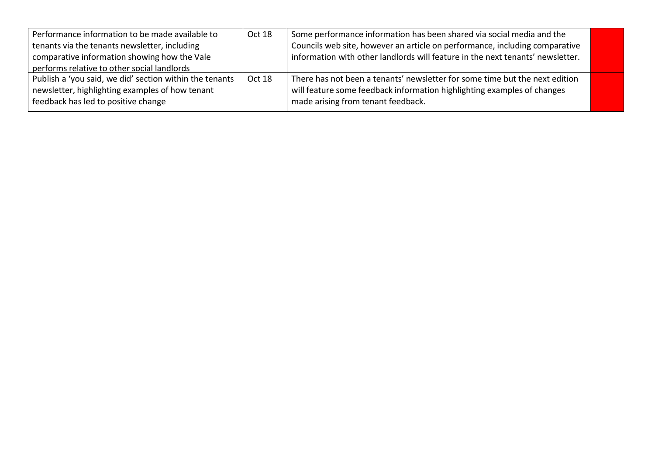| Performance information to be made available to         | Oct 18 | Some performance information has been shared via social media and the          |  |
|---------------------------------------------------------|--------|--------------------------------------------------------------------------------|--|
| tenants via the tenants newsletter, including           |        | Councils web site, however an article on performance, including comparative    |  |
| comparative information showing how the Vale            |        | information with other landlords will feature in the next tenants' newsletter. |  |
| performs relative to other social landlords             |        |                                                                                |  |
| Publish a 'you said, we did' section within the tenants | Oct 18 | There has not been a tenants' newsletter for some time but the next edition    |  |
| newsletter, highlighting examples of how tenant         |        | will feature some feedback information highlighting examples of changes        |  |
| feedback has led to positive change                     |        | made arising from tenant feedback.                                             |  |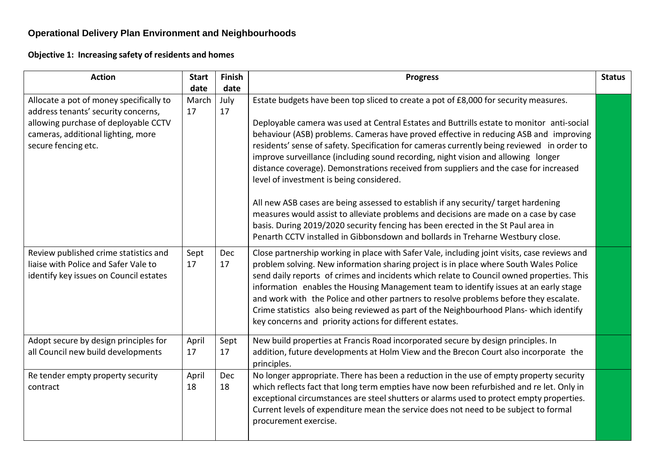# **Operational Delivery Plan Environment and Neighbourhoods**

**Objective 1: Increasing safety of residents and homes**

| <b>Action</b>                                                                                                           | <b>Start</b> | <b>Finish</b> | <b>Progress</b>                                                                                                                                                                                                                                                                                                                                                                                                                                                                                                                                                                                                            | <b>Status</b> |
|-------------------------------------------------------------------------------------------------------------------------|--------------|---------------|----------------------------------------------------------------------------------------------------------------------------------------------------------------------------------------------------------------------------------------------------------------------------------------------------------------------------------------------------------------------------------------------------------------------------------------------------------------------------------------------------------------------------------------------------------------------------------------------------------------------------|---------------|
|                                                                                                                         | date         | date          |                                                                                                                                                                                                                                                                                                                                                                                                                                                                                                                                                                                                                            |               |
| Allocate a pot of money specifically to<br>address tenants' security concerns,                                          | March<br>17  | July<br>17    | Estate budgets have been top sliced to create a pot of £8,000 for security measures.                                                                                                                                                                                                                                                                                                                                                                                                                                                                                                                                       |               |
| allowing purchase of deployable CCTV<br>cameras, additional lighting, more<br>secure fencing etc.                       |              |               | Deployable camera was used at Central Estates and Buttrills estate to monitor anti-social<br>behaviour (ASB) problems. Cameras have proved effective in reducing ASB and improving<br>residents' sense of safety. Specification for cameras currently being reviewed in order to<br>improve surveillance (including sound recording, night vision and allowing longer<br>distance coverage). Demonstrations received from suppliers and the case for increased<br>level of investment is being considered.                                                                                                                 |               |
|                                                                                                                         |              |               | All new ASB cases are being assessed to establish if any security/ target hardening<br>measures would assist to alleviate problems and decisions are made on a case by case<br>basis. During 2019/2020 security fencing has been erected in the St Paul area in<br>Penarth CCTV installed in Gibbonsdown and bollards in Treharne Westbury close.                                                                                                                                                                                                                                                                          |               |
| Review published crime statistics and<br>liaise with Police and Safer Vale to<br>identify key issues on Council estates | Sept<br>17   | Dec<br>17     | Close partnership working in place with Safer Vale, including joint visits, case reviews and<br>problem solving. New information sharing project is in place where South Wales Police<br>send daily reports of crimes and incidents which relate to Council owned properties. This<br>information enables the Housing Management team to identify issues at an early stage<br>and work with the Police and other partners to resolve problems before they escalate.<br>Crime statistics also being reviewed as part of the Neighbourhood Plans- which identify<br>key concerns and priority actions for different estates. |               |
| Adopt secure by design principles for<br>all Council new build developments                                             | April<br>17  | Sept<br>17    | New build properties at Francis Road incorporated secure by design principles. In<br>addition, future developments at Holm View and the Brecon Court also incorporate the<br>principles.                                                                                                                                                                                                                                                                                                                                                                                                                                   |               |
| Re tender empty property security<br>contract                                                                           | April<br>18  | Dec<br>18     | No longer appropriate. There has been a reduction in the use of empty property security<br>which reflects fact that long term empties have now been refurbished and re let. Only in<br>exceptional circumstances are steel shutters or alarms used to protect empty properties.<br>Current levels of expenditure mean the service does not need to be subject to formal<br>procurement exercise.                                                                                                                                                                                                                           |               |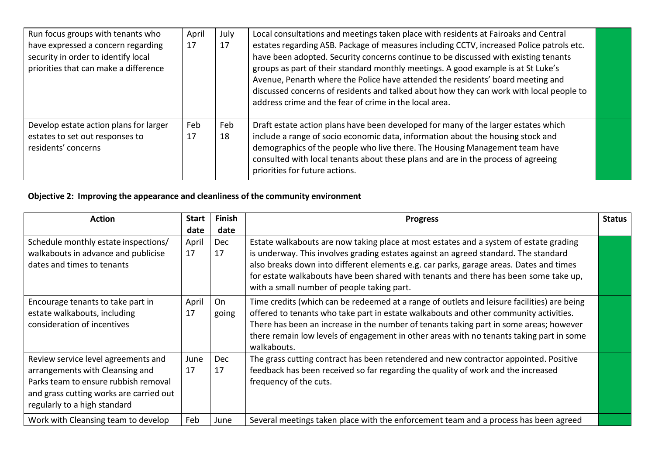| Run focus groups with tenants who<br>have expressed a concern regarding<br>security in order to identify local<br>priorities that can make a difference | April<br>17 | July<br>17 | Local consultations and meetings taken place with residents at Fairoaks and Central<br>estates regarding ASB. Package of measures including CCTV, increased Police patrols etc.<br>have been adopted. Security concerns continue to be discussed with existing tenants<br>groups as part of their standard monthly meetings. A good example is at St Luke's<br>Avenue, Penarth where the Police have attended the residents' board meeting and<br>discussed concerns of residents and talked about how they can work with local people to<br>address crime and the fear of crime in the local area. |  |
|---------------------------------------------------------------------------------------------------------------------------------------------------------|-------------|------------|-----------------------------------------------------------------------------------------------------------------------------------------------------------------------------------------------------------------------------------------------------------------------------------------------------------------------------------------------------------------------------------------------------------------------------------------------------------------------------------------------------------------------------------------------------------------------------------------------------|--|
| Develop estate action plans for larger<br>estates to set out responses to<br>residents' concerns                                                        | Feb<br>17   | Feb<br>18  | Draft estate action plans have been developed for many of the larger estates which<br>include a range of socio economic data, information about the housing stock and<br>demographics of the people who live there. The Housing Management team have<br>consulted with local tenants about these plans and are in the process of agreeing<br>priorities for future actions.                                                                                                                                                                                                                         |  |

# **Objective 2: Improving the appearance and cleanliness of the community environment**

| <b>Action</b>                                                                                                                                                                             | <b>Start</b> | <b>Finish</b>    | <b>Progress</b>                                                                                                                                                                                                                                                                                                                                                                                              | <b>Status</b> |
|-------------------------------------------------------------------------------------------------------------------------------------------------------------------------------------------|--------------|------------------|--------------------------------------------------------------------------------------------------------------------------------------------------------------------------------------------------------------------------------------------------------------------------------------------------------------------------------------------------------------------------------------------------------------|---------------|
|                                                                                                                                                                                           | date         | date             |                                                                                                                                                                                                                                                                                                                                                                                                              |               |
| Schedule monthly estate inspections/<br>walkabouts in advance and publicise<br>dates and times to tenants                                                                                 | April<br>17  | Dec<br>17        | Estate walkabouts are now taking place at most estates and a system of estate grading<br>is underway. This involves grading estates against an agreed standard. The standard<br>also breaks down into different elements e.g. car parks, garage areas. Dates and times<br>for estate walkabouts have been shared with tenants and there has been some take up,<br>with a small number of people taking part. |               |
| Encourage tenants to take part in<br>estate walkabouts, including<br>consideration of incentives                                                                                          | April<br>17  | On<br>going      | Time credits (which can be redeemed at a range of outlets and leisure facilities) are being<br>offered to tenants who take part in estate walkabouts and other community activities.<br>There has been an increase in the number of tenants taking part in some areas; however<br>there remain low levels of engagement in other areas with no tenants taking part in some<br>walkabouts.                    |               |
| Review service level agreements and<br>arrangements with Cleansing and<br>Parks team to ensure rubbish removal<br>and grass cutting works are carried out<br>regularly to a high standard | June<br>17   | <b>Dec</b><br>17 | The grass cutting contract has been retendered and new contractor appointed. Positive<br>feedback has been received so far regarding the quality of work and the increased<br>frequency of the cuts.                                                                                                                                                                                                         |               |
| Work with Cleansing team to develop                                                                                                                                                       | Feb          | June             | Several meetings taken place with the enforcement team and a process has been agreed                                                                                                                                                                                                                                                                                                                         |               |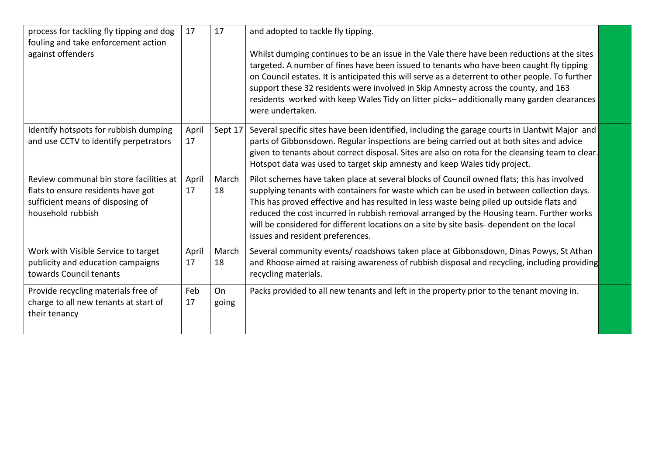| process for tackling fly tipping and dog<br>fouling and take enforcement action<br>against offenders                                   | 17          | 17          | and adopted to tackle fly tipping.<br>Whilst dumping continues to be an issue in the Vale there have been reductions at the sites<br>targeted. A number of fines have been issued to tenants who have been caught fly tipping<br>on Council estates. It is anticipated this will serve as a deterrent to other people. To further<br>support these 32 residents were involved in Skip Amnesty across the county, and 163<br>residents worked with keep Wales Tidy on litter picks-additionally many garden clearances<br>were undertaken. |  |
|----------------------------------------------------------------------------------------------------------------------------------------|-------------|-------------|-------------------------------------------------------------------------------------------------------------------------------------------------------------------------------------------------------------------------------------------------------------------------------------------------------------------------------------------------------------------------------------------------------------------------------------------------------------------------------------------------------------------------------------------|--|
| Identify hotspots for rubbish dumping<br>and use CCTV to identify perpetrators                                                         | April<br>17 | Sept 17     | Several specific sites have been identified, including the garage courts in Llantwit Major and<br>parts of Gibbonsdown. Regular inspections are being carried out at both sites and advice<br>given to tenants about correct disposal. Sites are also on rota for the cleansing team to clear.<br>Hotspot data was used to target skip amnesty and keep Wales tidy project.                                                                                                                                                               |  |
| Review communal bin store facilities at<br>flats to ensure residents have got<br>sufficient means of disposing of<br>household rubbish | April<br>17 | March<br>18 | Pilot schemes have taken place at several blocks of Council owned flats; this has involved<br>supplying tenants with containers for waste which can be used in between collection days.<br>This has proved effective and has resulted in less waste being piled up outside flats and<br>reduced the cost incurred in rubbish removal arranged by the Housing team. Further works<br>will be considered for different locations on a site by site basis- dependent on the local<br>issues and resident preferences.                        |  |
| Work with Visible Service to target<br>publicity and education campaigns<br>towards Council tenants                                    | April<br>17 | March<br>18 | Several community events/ roadshows taken place at Gibbonsdown, Dinas Powys, St Athan<br>and Rhoose aimed at raising awareness of rubbish disposal and recycling, including providing<br>recycling materials.                                                                                                                                                                                                                                                                                                                             |  |
| Provide recycling materials free of<br>charge to all new tenants at start of<br>their tenancy                                          | Feb<br>17   | On<br>going | Packs provided to all new tenants and left in the property prior to the tenant moving in.                                                                                                                                                                                                                                                                                                                                                                                                                                                 |  |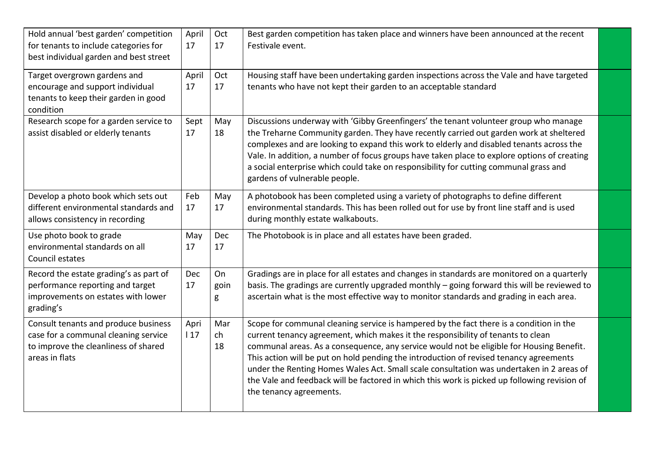| Hold annual 'best garden' competition<br>for tenants to include categories for<br>best individual garden and best street               | April<br>17 | Oct<br>17       | Best garden competition has taken place and winners have been announced at the recent<br>Festivale event.                                                                                                                                                                                                                                                                                                                                                                                                                                                                                |  |
|----------------------------------------------------------------------------------------------------------------------------------------|-------------|-----------------|------------------------------------------------------------------------------------------------------------------------------------------------------------------------------------------------------------------------------------------------------------------------------------------------------------------------------------------------------------------------------------------------------------------------------------------------------------------------------------------------------------------------------------------------------------------------------------------|--|
| Target overgrown gardens and<br>encourage and support individual<br>tenants to keep their garden in good<br>condition                  | April<br>17 | Oct<br>17       | Housing staff have been undertaking garden inspections across the Vale and have targeted<br>tenants who have not kept their garden to an acceptable standard                                                                                                                                                                                                                                                                                                                                                                                                                             |  |
| Research scope for a garden service to<br>assist disabled or elderly tenants                                                           | Sept<br>17  | May<br>18       | Discussions underway with 'Gibby Greenfingers' the tenant volunteer group who manage<br>the Treharne Community garden. They have recently carried out garden work at sheltered<br>complexes and are looking to expand this work to elderly and disabled tenants across the<br>Vale. In addition, a number of focus groups have taken place to explore options of creating<br>a social enterprise which could take on responsibility for cutting communal grass and<br>gardens of vulnerable people.                                                                                      |  |
| Develop a photo book which sets out<br>different environmental standards and<br>allows consistency in recording                        | Feb<br>17   | May<br>17       | A photobook has been completed using a variety of photographs to define different<br>environmental standards. This has been rolled out for use by front line staff and is used<br>during monthly estate walkabouts.                                                                                                                                                                                                                                                                                                                                                                      |  |
| Use photo book to grade<br>environmental standards on all<br>Council estates                                                           | May<br>17   | Dec<br>17       | The Photobook is in place and all estates have been graded.                                                                                                                                                                                                                                                                                                                                                                                                                                                                                                                              |  |
| Record the estate grading's as part of<br>performance reporting and target<br>improvements on estates with lower<br>grading's          | Dec<br>17   | On<br>goin<br>g | Gradings are in place for all estates and changes in standards are monitored on a quarterly<br>basis. The gradings are currently upgraded monthly - going forward this will be reviewed to<br>ascertain what is the most effective way to monitor standards and grading in each area.                                                                                                                                                                                                                                                                                                    |  |
| Consult tenants and produce business<br>case for a communal cleaning service<br>to improve the cleanliness of shared<br>areas in flats | Apri<br>117 | Mar<br>ch<br>18 | Scope for communal cleaning service is hampered by the fact there is a condition in the<br>current tenancy agreement, which makes it the responsibility of tenants to clean<br>communal areas. As a consequence, any service would not be eligible for Housing Benefit.<br>This action will be put on hold pending the introduction of revised tenancy agreements<br>under the Renting Homes Wales Act. Small scale consultation was undertaken in 2 areas of<br>the Vale and feedback will be factored in which this work is picked up following revision of<br>the tenancy agreements. |  |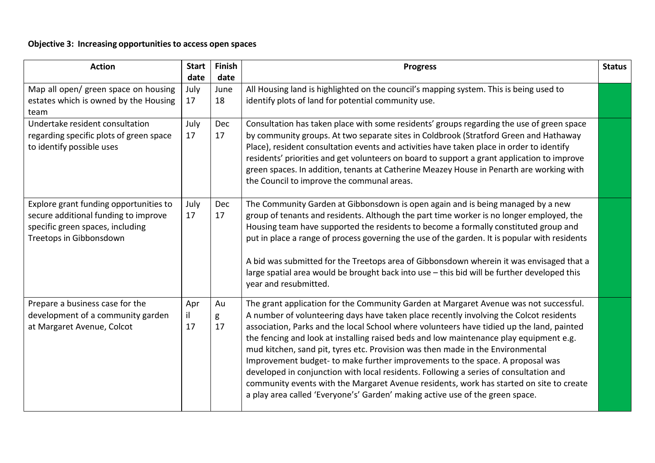## **Objective 3: Increasing opportunities to access open spaces**

| <b>Action</b>                                                                                                                                 | <b>Start</b>       | Finish             | <b>Progress</b>                                                                                                                                                                                                                                                                                                                                                                                                                                                                                                                                                                                                                                                                                                                                                                                                | <b>Status</b> |
|-----------------------------------------------------------------------------------------------------------------------------------------------|--------------------|--------------------|----------------------------------------------------------------------------------------------------------------------------------------------------------------------------------------------------------------------------------------------------------------------------------------------------------------------------------------------------------------------------------------------------------------------------------------------------------------------------------------------------------------------------------------------------------------------------------------------------------------------------------------------------------------------------------------------------------------------------------------------------------------------------------------------------------------|---------------|
| Map all open/ green space on housing<br>estates which is owned by the Housing<br>team                                                         | date<br>July<br>17 | date<br>June<br>18 | All Housing land is highlighted on the council's mapping system. This is being used to<br>identify plots of land for potential community use.                                                                                                                                                                                                                                                                                                                                                                                                                                                                                                                                                                                                                                                                  |               |
| Undertake resident consultation<br>regarding specific plots of green space<br>to identify possible uses                                       | July<br>17         | Dec<br>17          | Consultation has taken place with some residents' groups regarding the use of green space<br>by community groups. At two separate sites in Coldbrook (Stratford Green and Hathaway<br>Place), resident consultation events and activities have taken place in order to identify<br>residents' priorities and get volunteers on board to support a grant application to improve<br>green spaces. In addition, tenants at Catherine Meazey House in Penarth are working with<br>the Council to improve the communal areas.                                                                                                                                                                                                                                                                                       |               |
| Explore grant funding opportunities to<br>secure additional funding to improve<br>specific green spaces, including<br>Treetops in Gibbonsdown | July<br>17         | Dec<br>17          | The Community Garden at Gibbonsdown is open again and is being managed by a new<br>group of tenants and residents. Although the part time worker is no longer employed, the<br>Housing team have supported the residents to become a formally constituted group and<br>put in place a range of process governing the use of the garden. It is popular with residents<br>A bid was submitted for the Treetops area of Gibbonsdown wherein it was envisaged that a<br>large spatial area would be brought back into use - this bid will be further developed this<br>year and resubmitted.                                                                                                                                                                                                                       |               |
| Prepare a business case for the<br>development of a community garden<br>at Margaret Avenue, Colcot                                            | Apr<br>il<br>17    | Au<br>g<br>17      | The grant application for the Community Garden at Margaret Avenue was not successful.<br>A number of volunteering days have taken place recently involving the Colcot residents<br>association, Parks and the local School where volunteers have tidied up the land, painted<br>the fencing and look at installing raised beds and low maintenance play equipment e.g.<br>mud kitchen, sand pit, tyres etc. Provision was then made in the Environmental<br>Improvement budget- to make further improvements to the space. A proposal was<br>developed in conjunction with local residents. Following a series of consultation and<br>community events with the Margaret Avenue residents, work has started on site to create<br>a play area called 'Everyone's' Garden' making active use of the green space. |               |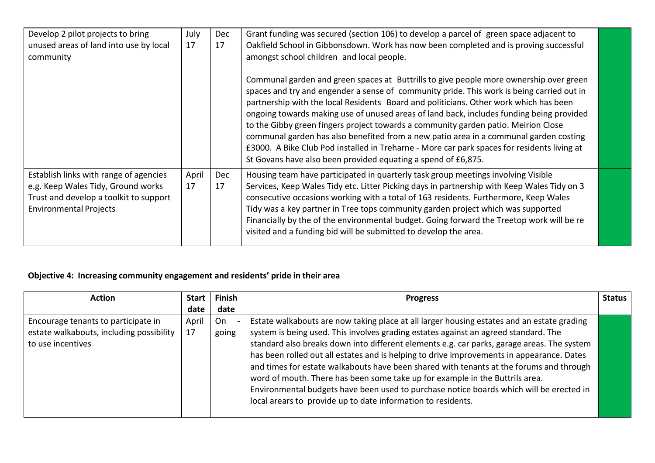| Develop 2 pilot projects to bring<br>unused areas of land into use by local<br>community                                                                | July<br>17  | Dec<br>17 | Grant funding was secured (section 106) to develop a parcel of green space adjacent to<br>Oakfield School in Gibbonsdown. Work has now been completed and is proving successful<br>amongst school children and local people.                                                                                                                                                                                                                                                                                                                                                                                                                                                                                            |
|---------------------------------------------------------------------------------------------------------------------------------------------------------|-------------|-----------|-------------------------------------------------------------------------------------------------------------------------------------------------------------------------------------------------------------------------------------------------------------------------------------------------------------------------------------------------------------------------------------------------------------------------------------------------------------------------------------------------------------------------------------------------------------------------------------------------------------------------------------------------------------------------------------------------------------------------|
|                                                                                                                                                         |             |           | Communal garden and green spaces at Buttrills to give people more ownership over green<br>spaces and try and engender a sense of community pride. This work is being carried out in<br>partnership with the local Residents Board and politicians. Other work which has been<br>ongoing towards making use of unused areas of land back, includes funding being provided<br>to the Gibby green fingers project towards a community garden patio. Meirion Close<br>communal garden has also benefited from a new patio area in a communal garden costing<br>£3000. A Bike Club Pod installed in Treharne - More car park spaces for residents living at<br>St Govans have also been provided equating a spend of £6,875. |
| Establish links with range of agencies<br>e.g. Keep Wales Tidy, Ground works<br>Trust and develop a toolkit to support<br><b>Environmental Projects</b> | April<br>17 | Dec<br>17 | Housing team have participated in quarterly task group meetings involving Visible<br>Services, Keep Wales Tidy etc. Litter Picking days in partnership with Keep Wales Tidy on 3<br>consecutive occasions working with a total of 163 residents. Furthermore, Keep Wales<br>Tidy was a key partner in Tree tops community garden project which was supported<br>Financially by the of the environmental budget. Going forward the Treetop work will be re<br>visited and a funding bid will be submitted to develop the area.                                                                                                                                                                                           |

## **Objective 4: Increasing community engagement and residents' pride in their area**

| <b>Action</b>                                                                                        | <b>Start</b> | <b>Finish</b> | <b>Progress</b>                                                                                                                                                                                                                                                                                                                                                                                                                                                                                                                                         | <b>Status</b> |
|------------------------------------------------------------------------------------------------------|--------------|---------------|---------------------------------------------------------------------------------------------------------------------------------------------------------------------------------------------------------------------------------------------------------------------------------------------------------------------------------------------------------------------------------------------------------------------------------------------------------------------------------------------------------------------------------------------------------|---------------|
|                                                                                                      | date         | date          |                                                                                                                                                                                                                                                                                                                                                                                                                                                                                                                                                         |               |
| Encourage tenants to participate in<br>estate walkabouts, including possibility<br>to use incentives | April<br>17  | On<br>going   | Estate walkabouts are now taking place at all larger housing estates and an estate grading<br>system is being used. This involves grading estates against an agreed standard. The<br>standard also breaks down into different elements e.g. car parks, garage areas. The system<br>has been rolled out all estates and is helping to drive improvements in appearance. Dates<br>and times for estate walkabouts have been shared with tenants at the forums and through<br>word of mouth. There has been some take up for example in the Buttrils area. |               |
|                                                                                                      |              |               | Environmental budgets have been used to purchase notice boards which will be erected in<br>local arears to provide up to date information to residents.                                                                                                                                                                                                                                                                                                                                                                                                 |               |